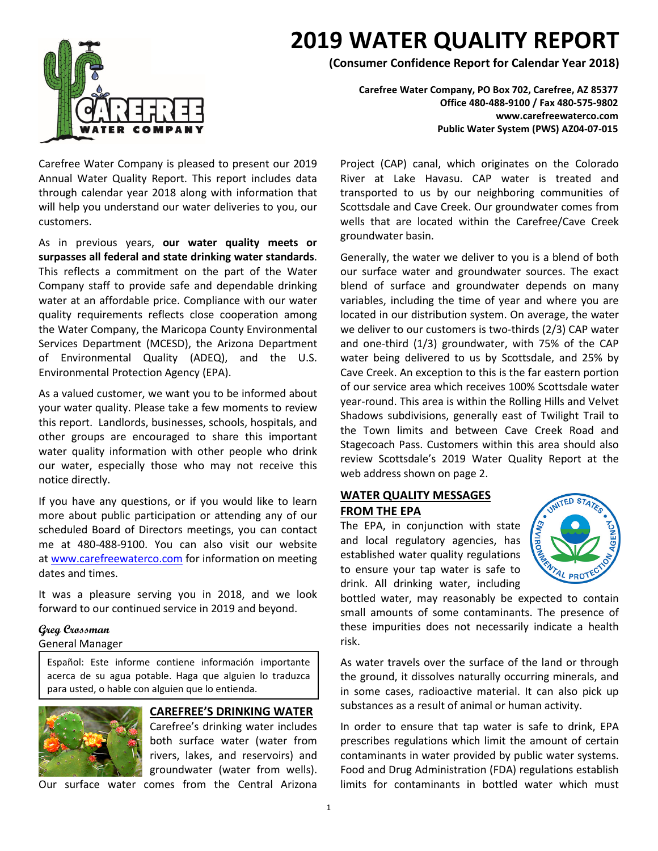

# **2019 WATER QUALITY REPORT**

**(Consumer Confidence Report for Calendar Year 2018)**

**Carefree Water Company, PO Box 702, Carefree, AZ 85377 Office 480-488-9100 / Fax 480-575-9802 www.carefreewaterco.com Public Water System (PWS) AZ04-07-015**

Carefree Water Company is pleased to present our 2019 Annual Water Quality Report. This report includes data through calendar year 2018 along with information that will help you understand our water deliveries to you, our customers.

As in previous years, **our water quality meets or surpasses all federal and state drinking water standards**. This reflects a commitment on the part of the Water Company staff to provide safe and dependable drinking water at an affordable price. Compliance with our water quality requirements reflects close cooperation among the Water Company, the Maricopa County Environmental Services Department (MCESD), the Arizona Department of Environmental Quality (ADEQ), and the U.S. Environmental Protection Agency (EPA).

As a valued customer, we want you to be informed about your water quality. Please take a few moments to review this report. Landlords, businesses, schools, hospitals, and other groups are encouraged to share this important water quality information with other people who drink our water, especially those who may not receive this notice directly.

If you have any questions, or if you would like to learn more about public participation or attending any of our scheduled Board of Directors meetings, you can contact me at 480-488-9100. You can also visit our website at [www.carefreewaterco.com](http://www.carefreewaterco.com/) for information on meeting dates and times.

It was a pleasure serving you in 2018, and we look forward to our continued service in 2019 and beyond.

## **Greg Crossman**

#### General Manager

Español: Este informe contiene información importante acerca de su agua potable. Haga que alguien lo traduzca para usted, o hable con alguien que lo entienda.



### **CAREFREE'S DRINKING WATER**

Carefree's drinking water includes both surface water (water from rivers, lakes, and reservoirs) and groundwater (water from wells).

Our surface water comes from the Central Arizona

Project (CAP) canal, which originates on the Colorado River at Lake Havasu. CAP water is treated and transported to us by our neighboring communities of Scottsdale and Cave Creek. Our groundwater comes from wells that are located within the Carefree/Cave Creek groundwater basin.

Generally, the water we deliver to you is a blend of both our surface water and groundwater sources. The exact blend of surface and groundwater depends on many variables, including the time of year and where you are located in our distribution system. On average, the water we deliver to our customers is two-thirds (2/3) CAP water and one-third (1/3) groundwater, with 75% of the CAP water being delivered to us by Scottsdale, and 25% by Cave Creek. An exception to this is the far eastern portion of our service area which receives 100% Scottsdale water year-round. This area is within the Rolling Hills and Velvet Shadows subdivisions, generally east of Twilight Trail to the Town limits and between Cave Creek Road and Stagecoach Pass. Customers within this area should also review Scottsdale's 2019 Water Quality Report at the web address shown on page 2.

## **WATER QUALITY MESSAGES FROM THE EPA**

The EPA, in conjunction with state and local regulatory agencies, has established water quality regulations to ensure your tap water is safe to drink. All drinking water, including



bottled water, may reasonably be expected to contain small amounts of some contaminants. The presence of these impurities does not necessarily indicate a health risk.

As water travels over the surface of the land or through the ground, it dissolves naturally occurring minerals, and in some cases, radioactive material. It can also pick up substances as a result of animal or human activity.

In order to ensure that tap water is safe to drink, EPA prescribes regulations which limit the amount of certain contaminants in water provided by public water systems. Food and Drug Administration (FDA) regulations establish limits for contaminants in bottled water which must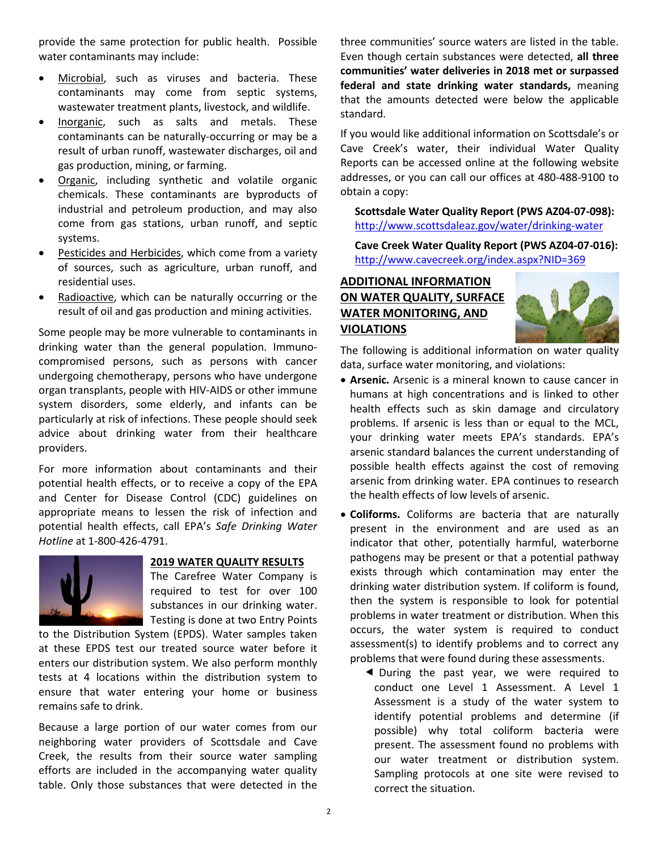provide the same protection for public health. Possible water contaminants may include:

- Microbial, such as viruses and bacteria. These contaminants may come from septic systems, wastewater treatment plants, livestock, and wildlife.
- Inorganic, such as salts and metals. These contaminants can be naturally-occurring or may be a result of urban runoff, wastewater discharges, oil and gas production, mining, or farming.
- Organic, including synthetic and volatile organic chemicals. These contaminants are byproducts of industrial and petroleum production, and may also come from gas stations, urban runoff, and septic systems.
- Pesticides and Herbicides, which come from a variety of sources, such as agriculture, urban runoff, and residential uses.
- Radioactive, which can be naturally occurring or the result of oil and gas production and mining activities.

Some people may be more vulnerable to contaminants in drinking water than the general population. Immunocompromised persons, such as persons with cancer undergoing chemotherapy, persons who have undergone organ transplants, people with HIV-AIDS or other immune system disorders, some elderly, and infants can be particularly at risk of infections. These people should seek advice about drinking water from their healthcare providers.

For more information about contaminants and their potential health effects, or to receive a copy of the EPA and Center for Disease Control (CDC) guidelines on appropriate means to lessen the risk of infection and potential health effects, call EPA's *Safe Drinking Water Hotline* at 1-800-426-4791.



## **2019 WATER QUALITY RESULTS**

The Carefree Water Company is required to test for over 100 substances in our drinking water. Testing is done at two Entry Points

to the Distribution System (EPDS). Water samples taken at these EPDS test our treated source water before it enters our distribution system. We also perform monthly tests at 4 locations within the distribution system to ensure that water entering your home or business remains safe to drink.

Because a large portion of our water comes from our neighboring water providers of Scottsdale and Cave Creek, the results from their source water sampling efforts are included in the accompanying water quality table. Only those substances that were detected in the three communities' source waters are listed in the table. Even though certain substances were detected, **all three communities' water deliveries in 2018 met or surpassed federal and state drinking water standards,** meaning that the amounts detected were below the applicable standard.

If you would like additional information on Scottsdale's or Cave Creek's water, their individual Water Quality Reports can be accessed online at the following website addresses, or you can call our offices at 480-488-9100 to obtain a copy:

**Scottsdale Water Quality Report (PWS AZ04-07-098):** <http://www.scottsdaleaz.gov/water/drinking-water>

**Cave Creek Water Quality Report (PWS AZ04-07-016):** <http://www.cavecreek.org/index.aspx?NID=369>

## **ADDITIONAL INFORMATION ON WATER QUALITY, SURFACE WATER MONITORING, AND VIOLATIONS**



The following is additional information on water quality data, surface water monitoring, and violations:

- **Arsenic.** Arsenic is a mineral known to cause cancer in humans at high concentrations and is linked to other health effects such as skin damage and circulatory problems. If arsenic is less than or equal to the MCL, your drinking water meets EPA's standards. EPA's arsenic standard balances the current understanding of possible health effects against the cost of removing arsenic from drinking water. EPA continues to research the health effects of low levels of arsenic.
- **Coliforms.** Coliforms are bacteria that are naturally present in the environment and are used as an indicator that other, potentially harmful, waterborne pathogens may be present or that a potential pathway exists through which contamination may enter the drinking water distribution system. If coliform is found, then the system is responsible to look for potential problems in water treatment or distribution. When this occurs, the water system is required to conduct assessment(s) to identify problems and to correct any problems that were found during these assessments.
	- During the past year, we were required to conduct one Level 1 Assessment. A Level 1 Assessment is a study of the water system to identify potential problems and determine (if possible) why total coliform bacteria were present. The assessment found no problems with our water treatment or distribution system. Sampling protocols at one site were revised to correct the situation.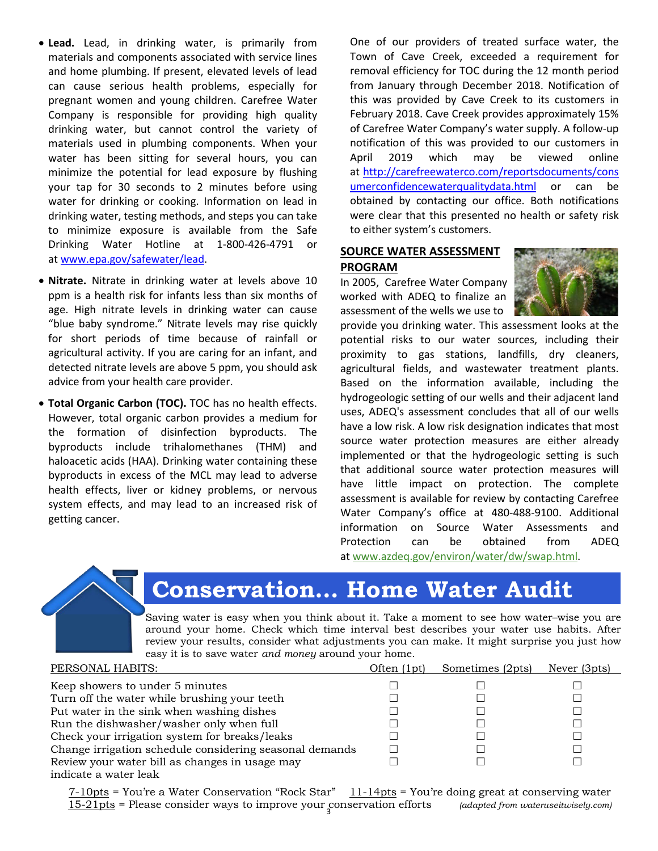- **Lead.** Lead, in drinking water, is primarily from materials and components associated with service lines and home plumbing. If present, elevated levels of lead can cause serious health problems, especially for pregnant women and young children. Carefree Water Company is responsible for providing high quality drinking water, but cannot control the variety of materials used in plumbing components. When your water has been sitting for several hours, you can minimize the potential for lead exposure by flushing your tap for 30 seconds to 2 minutes before using water for drinking or cooking. Information on lead in drinking water, testing methods, and steps you can take to minimize exposure is available from the Safe Drinking Water Hotline at 1-800-426-4791 or at [www.epa.gov/safewater/lead.](http://www.epa.gov/safewater/lead)
- **Nitrate.** Nitrate in drinking water at levels above 10 ppm is a health risk for infants less than six months of age. High nitrate levels in drinking water can cause "blue baby syndrome." Nitrate levels may rise quickly for short periods of time because of rainfall or agricultural activity. If you are caring for an infant, and detected nitrate levels are above 5 ppm, you should ask advice from your health care provider.
- **Total Organic Carbon (TOC).** TOC has no health effects. However, total organic carbon provides a medium for the formation of disinfection byproducts. The byproducts include trihalomethanes (THM) and haloacetic acids (HAA). Drinking water containing these byproducts in excess of the MCL may lead to adverse health effects, liver or kidney problems, or nervous system effects, and may lead to an increased risk of getting cancer.

One of our providers of treated surface water, the Town of Cave Creek, exceeded a requirement for removal efficiency for TOC during the 12 month period from January through December 2018. Notification of this was provided by Cave Creek to its customers in February 2018. Cave Creek provides approximately 15% of Carefree Water Company's water supply. A follow-up notification of this was provided to our customers in April 2019 which may be viewed online at [http://carefreewaterco.com/reportsdocuments/cons](http://carefreewaterco.com/reportsdocuments/consumerconfidencewaterqualitydata.html) [umerconfidencewaterqualitydata.html](http://carefreewaterco.com/reportsdocuments/consumerconfidencewaterqualitydata.html) or can be obtained by contacting our office. Both notifications were clear that this presented no health or safety risk to either system's customers.

## **SOURCE WATER ASSESSMENT PROGRAM**

In 2005, Carefree Water Company worked with ADEQ to finalize an assessment of the wells we use to



provide you drinking water. This assessment looks at the potential risks to our water sources, including their proximity to gas stations, landfills, dry cleaners, agricultural fields, and wastewater treatment plants. Based on the information available, including the hydrogeologic setting of our wells and their adjacent land uses, ADEQ's assessment concludes that all of our wells have a low risk. A low risk designation indicates that most source water protection measures are either already implemented or that the hydrogeologic setting is such that additional source water protection measures will have little impact on protection. The complete assessment is available for review by contacting Carefree Water Company's office at 480-488-9100. Additional information on Source Water Assessments and Protection can be obtained from ADEQ at [www.azdeq.gov/environ/water/dw/swap.html.](http://www.azdeq.gov/environ/water/dw/swap.html)



# **Conservation… Home Water Audit**

Saving water is easy when you think about it. Take a moment to see how water–wise you are around your home. Check which time interval best describes your water use habits. After review your results, consider what adjustments you can make. It might surprise you just how easy it is to save water *and money* around your home.

| PERSONAL HABITS:                                        | Often (1pt) | Sometimes (2pts) | Never (3pts) |
|---------------------------------------------------------|-------------|------------------|--------------|
| Keep showers to under 5 minutes                         |             |                  |              |
| Turn off the water while brushing your teeth            |             |                  |              |
| Put water in the sink when washing dishes               |             |                  |              |
| Run the dishwasher/washer only when full                |             |                  |              |
| Check your irrigation system for breaks/leaks           |             |                  |              |
| Change irrigation schedule considering seasonal demands |             |                  |              |
| Review your water bill as changes in usage may          |             |                  |              |
| indicate a water leak                                   |             |                  |              |

3 15-21pts = Please consider ways to improve your conservation efforts *(adapted from wateruseitwisely.com)* 7-10pts = You're a Water Conservation "Rock Star" 11-14pts = You're doing great at conserving water